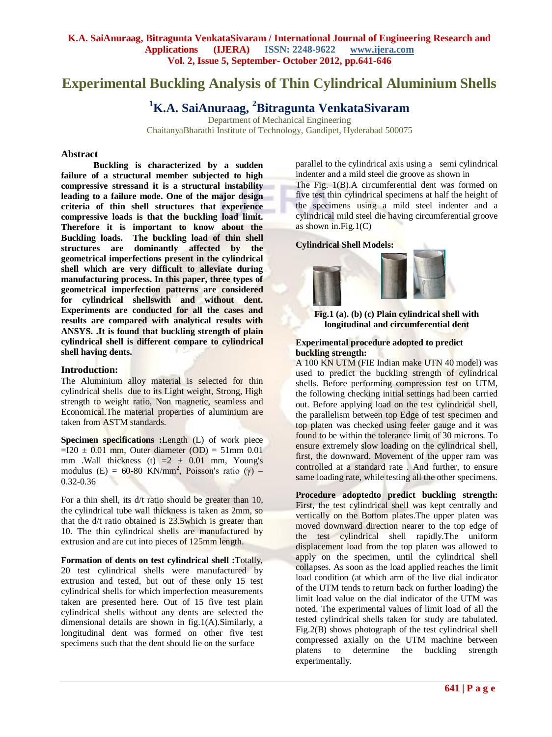# **Experimental Buckling Analysis of Thin Cylindrical Aluminium Shells**

# **<sup>1</sup>K.A. SaiAnuraag, <sup>2</sup>Bitragunta VenkataSivaram**

Department of Mechanical Engineering ChaitanyaBharathi Institute of Technology, Gandipet, Hyderabad 500075

#### **Abstract**

**Buckling is characterized by a sudden failure of a structural member subjected to high [compressive stressa](http://en.wikipedia.org/wiki/Stress_(mechanics))nd it is a structural instability leading to a [failure mode.](http://en.wikipedia.org/wiki/Structural_failure) One of the major design criteria of thin shell structures that experience compressive loads is that the buckling load limit. Therefore it is important to know about the Buckling loads. The buckling load of thin shell structures are dominantly affected by the geometrical imperfections present in the cylindrical shell which are very difficult to alleviate during manufacturing process. In this paper, three types of geometrical imperfection patterns are considered for cylindrical shellswith and without dent. Experiments are conducted for all the cases and results are compared with analytical results with ANSYS. .It is found that buckling strength of plain cylindrical shell is different compare to cylindrical shell having dents.**

#### **Introduction:**

The Aluminium alloy material is selected for thin cylindrical shells due to its Light weight, Strong, High strength to weight ratio, Non magnetic, seamless and Economical.The material properties of aluminium are taken from ASTM standards.

**Specimen specifications :**Length (L) of work piece  $=120 \pm 0.01$  mm, Outer diameter (OD) = 51mm 0.01 mm .Wall thickness (t)  $=2 \pm 0.01$  mm, Young's modulus (E) = 60-80 KN/mm<sup>2</sup>, Poisson's ratio ( $\gamma$ ) = 0.32-0.36

For a thin shell, its d/t ratio should be greater than 10, the cylindrical tube wall thickness is taken as 2mm, so that the d/t ratio obtained is 23.5which is greater than 10. The thin cylindrical shells are manufactured by extrusion and are cut into pieces of 125mm length.

**Formation of dents on test cylindrical shell :**Totally, 20 test cylindrical shells were manufactured by extrusion and tested, but out of these only 15 test cylindrical shells for which imperfection measurements taken are presented here. Out of 15 five test plain cylindrical shells without any dents are selected the dimensional details are shown in fig.1(A).Similarly, a longitudinal dent was formed on other five test specimens such that the dent should lie on the surface

parallel to the cylindrical axis using a semi cylindrical indenter and a mild steel die groove as shown in

The Fig. 1(B).A circumferential dent was formed on five test thin cylindrical specimens at half the height of the specimens using a mild steel indenter and a cylindrical mild steel die having circumferential groove as shown in.Fig.1 $(C)$ 

## **Cylindrical Shell Models:**





#### **Experimental procedure adopted to predict buckling strength:**

A 100 KN UTM (FIE Indian make UTN 40 model) was used to predict the buckling strength of cylindrical shells. Before performing compression test on UTM, the following checking initial settings had been carried out. Before applying load on the test cylindrical shell, the parallelism between top Edge of test specimen and top platen was checked using feeler gauge and it was found to be within the tolerance limit of 30 microns. To ensure extremely slow loading on the cylindrical shell, first, the downward. Movement of the upper ram was controlled at a standard rate . And further, to ensure same loading rate, while testing all the other specimens.

**Procedure adoptedto predict buckling strength:**  First, the test cylindrical shell was kept centrally and vertically on the Bottom plates.The upper platen was moved downward direction nearer to the top edge of the test cylindrical shell rapidly.The uniform displacement load from the top platen was allowed to apply on the specimen, until the cylindrical shell collapses. As soon as the load applied reaches the limit load condition (at which arm of the live dial indicator of the UTM tends to return back on further loading) the limit load value on the dial indicator of the UTM was noted. The experimental values of limit load of all the tested cylindrical shells taken for study are tabulated. Fig.2(B) shows photograph of the test cylindrical shell compressed axially on the UTM machine between platens to determine the buckling strength experimentally.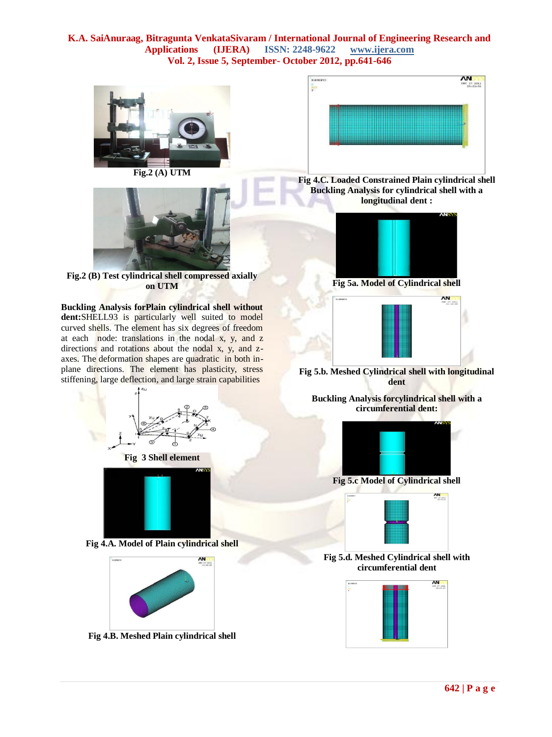



**Fig.2 (B) Test cylindrical shell compressed axially on UTM**

**Buckling Analysis forPlain cylindrical shell without dent:**SHELL93 is particularly well suited to model curved shells. The element has six degrees of freedom at each node: translations in the nodal  $x$ ,  $y$ , and  $z$ directions and rotations about the nodal x, y, and zaxes. The deformation shapes are quadratic in both inplane directions. The element has plasticity, stress stiffening, large deflection, and large strain capabilities





**Fig 4.B. Meshed Plain cylindrical shell** 



**Fig 4.C. Loaded Constrained Plain cylindrical shell Buckling Analysis for cylindrical shell with a longitudinal dent :**



**Fig 5a. Model of Cylindrical shell** 



**Fig 5.b. Meshed Cylindrical shell with longitudinal dent**

**Buckling Analysis forcylindrical shell with a circumferential dent:**



**Fig 5.c Model of Cylindrical shell** 



**Fig 5.d. Meshed Cylindrical shell with circumferential dent**

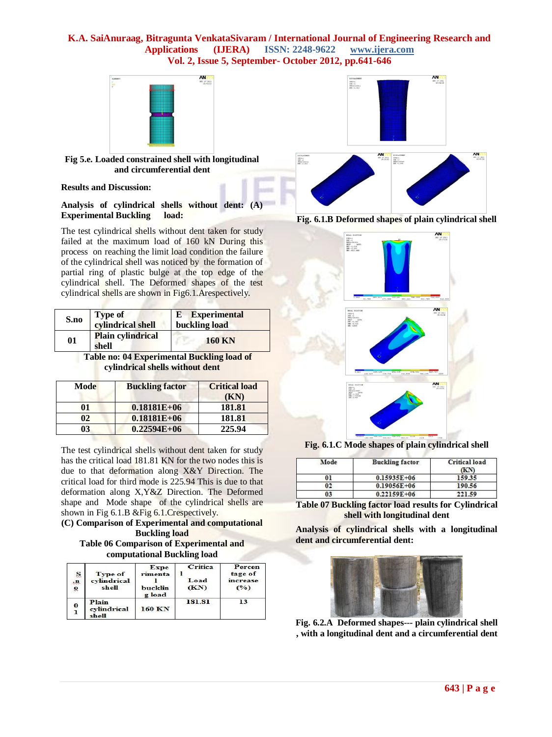

#### **Fig 5.e. Loaded constrained shell with longitudinal and circumferential dent**

#### **Results and Discussion:**

**Analysis of cylindrical shells without dent: (A) Experimental Buckling load:**

The test cylindrical shells without dent taken for study failed at the maximum load of 160 kN During this process on reaching the limit load condition the failure of the cylindrical shell was noticed by the formation of partial ring of plastic bulge at the top edge of the cylindrical shell. The Deformed shapes of the test cylindrical shells are shown in Fig6.1.Arespectively.

| S.no | <b>Type of</b><br>cylindrical shell | <b>E</b> Experimental<br>buckling load |  |
|------|-------------------------------------|----------------------------------------|--|
| 01   | <b>Plain cylindrical</b><br>shell   | <b>160 KN</b>                          |  |

 **Table no: 04 Experimental Buckling load of cylindrical shells without dent**

| Mode | <b>Buckling factor</b> | <b>Critical load</b><br>(KN) |
|------|------------------------|------------------------------|
| 01   | $0.18181E+06$          | 181.81                       |
| 02   | $0.18181E + 06$        | 181.81                       |
| 03   | $0.22594E+06$          | 225.94                       |

The test cylindrical shells without dent taken for study has the critical load 181.81 KN for the two nodes this is due to that deformation along X&Y Direction. The critical load for third mode is 225.94 This is due to that deformation along X,Y&Z Direction. The Deformed shape and Mode shape of the cylindrical shells are shown in Fig 6.1.B &Fig 6.1.Crespectively.

# **(C) Comparison of Experimental and computational Buckling load**

**Table 06 Comparison of Experimental and computational Buckling load**

| S<br>$\mathbf{m}$<br>$\widetilde{\mathbf{6}}$ | Type of<br>cylindrical<br>shell | Expe<br>rimenta<br>bucklin<br>g load | Critica<br>Load<br>(KN) | Percen<br>tage of<br>increase<br>(°) |
|-----------------------------------------------|---------------------------------|--------------------------------------|-------------------------|--------------------------------------|
| 0                                             | Plain<br>cvlindrical<br>shell   | 160 KN                               | 181.81                  | 13                                   |







**Fig. 6.1.C Mode shapes of plain cylindrical shell** 

| Mode | <b>Buckling factor</b> | Critical load<br>ŒУ |
|------|------------------------|---------------------|
| 01   | $0.15935E + 06$        | 159.35              |
| 02   | $0.19056E + 06$        | 190.56              |
| 03   | $0.22159E + 06$        | 221.59              |

**Table 07 Buckling factor load results for Cylindrical shell with longitudinal dent**

**Analysis of cylindrical shells with a longitudinal dent and circumferential dent:**



**Fig. 6.2.A Deformed shapes--- plain cylindrical shell , with a longitudinal dent and a circumferential dent**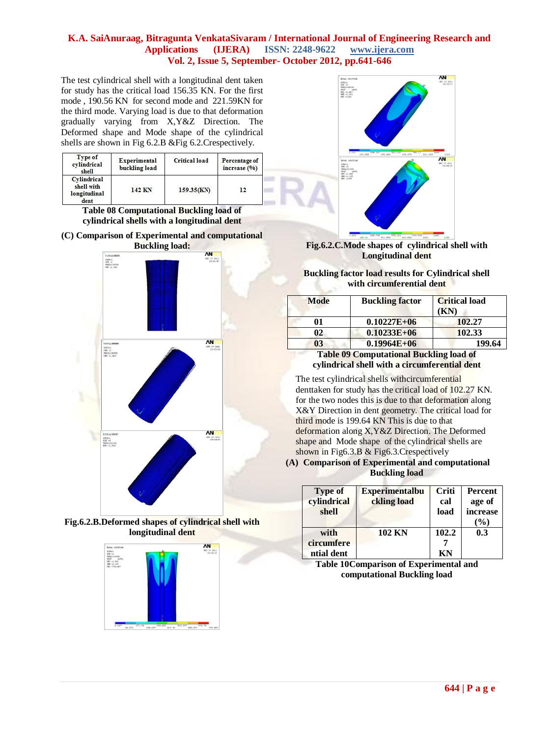The test cylindrical shell with a longitudinal dent taken for study has the critical load 156.35 KN. For the first mode , 190.56 KN for second mode and 221.59KN for the third mode. Varying load is due to that deformation gradually varying from X,Y&Z Direction. The Deformed shape and Mode shape of the cylindrical shells are shown in Fig 6.2.B &Fig 6.2.Crespectively.

| Type of<br>cvlindrical<br>shell                   | Experimental<br>buckling load | Critical load | Percentage of<br>increase (%) |
|---------------------------------------------------|-------------------------------|---------------|-------------------------------|
| Cylindrical<br>shell with<br>longitudinal<br>dent | 142 KN                        | 159.35(KN)    | 12<br>--                      |

**Table 08 Computational Buckling load of cylindrical shells with a longitudinal dent**

**(C) Comparison of Experimental and computational Buckling load:**









**Fig.6.2.C.Mode shapes of cylindrical shell with Longitudinal dent**

**Buckling factor load results for Cylindrical shell with circumferential dent**

| <b>Mode</b> | <b>Buckling factor</b> | <b>Critical load</b><br>'KN) |
|-------------|------------------------|------------------------------|
| 01          | $0.10227E + 06$        | 102.27                       |
| 02          | $0.10233E + 06$        | 102.33                       |
| 03          | $0.19964E + 06$        | 199.64                       |
|             | ---                    | $\sim$                       |

**Table 09 Computational Buckling load of cylindrical shell with a circumferential dent**

The test cylindrical shells withcircumferential denttaken for study has the critical load of 102.27 KN. for the two nodes this is due to that deformation along X&Y Direction in dent geometry. The critical load for third mode is 199.64 KN This is due to that deformation along X,Y&Z Direction. The Deformed shape and Mode shape of the cylindrical shells are shown in Fig6.3.B & Fig6.3.Crespectively

**(A) Comparison of Experimental and computational Buckling load**

| <b>Type of</b><br>cylindrical<br>shell | <b>Experimentalbu</b><br>ckling load | Criti<br>cal<br>load | <b>Percent</b><br>age of<br>increase<br>$(\%)$ |
|----------------------------------------|--------------------------------------|----------------------|------------------------------------------------|
| with<br>circumfere<br>ntial dent       | <b>102 KN</b>                        | 102.2<br>KN          | 0.3                                            |

**Table 10Comparison of Experimental and computational Buckling load**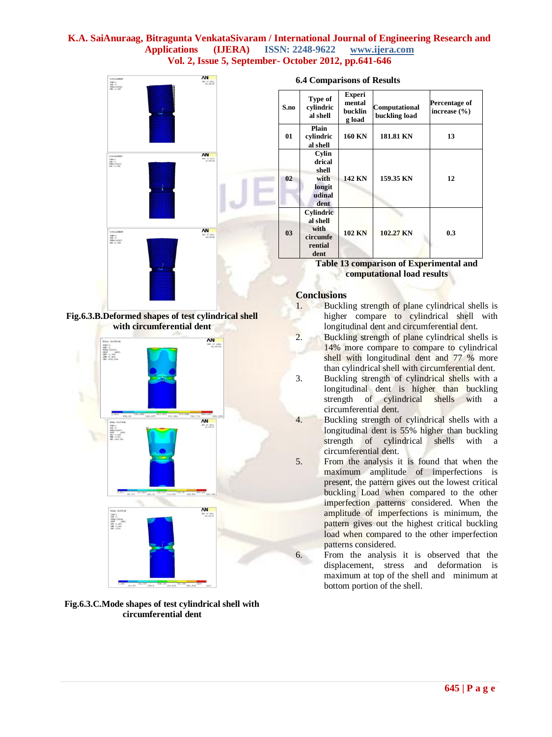

**Fig.6.3.B.Deformed shapes of test cylindrical shell with circumferential dent**





**6.4 Comparisons of Results** 

| S.no | Type of<br>cylindric<br>al shell                                    | <b>Experi</b><br>mental<br>bucklin<br>g load | Computational<br>buckling load | Percentage of<br>increase $(\% )$ |
|------|---------------------------------------------------------------------|----------------------------------------------|--------------------------------|-----------------------------------|
| 01   | Plain<br>cylindric<br>al shell                                      | <b>160 KN</b>                                | 181.81 KN                      | 13                                |
| 02   | Cylin<br>drical<br>shell<br>with<br>longit<br>udinal<br>dent        | 142 KN                                       | 159.35 KN                      | 12                                |
| 03   | <b>Cylindric</b><br>al shell<br>with<br>circumfe<br>rential<br>dent | <b>102 KN</b>                                | 102.27 KN                      | 0.3                               |

**Table 13 comparison of Experimental and computational load results**

# **Conclusions**

- 1. Buckling strength of plane cylindrical shells is higher compare to cylindrical shell with longitudinal dent and circumferential dent.
- 2. Buckling strength of plane cylindrical shells is 14% more compare to compare to cylindrical shell with longitudinal dent and 77 % more than cylindrical shell with circumferential dent.
- 3. Buckling strength of cylindrical shells with a longitudinal dent is higher than buckling strength of cylindrical shells with a circumferential dent.
- 4. Buckling strength of cylindrical shells with a longitudinal dent is 55% higher than buckling strength of cylindrical shells with a circumferential dent.
- 5. From the analysis it is found that when the maximum amplitude of imperfections is present, the pattern gives out the lowest critical buckling Load when compared to the other imperfection patterns considered. When the amplitude of imperfections is minimum, the pattern gives out the highest critical buckling load when compared to the other imperfection patterns considered.
- 6. From the analysis it is observed that the displacement, stress and deformation is maximum at top of the shell and minimum at bottom portion of the shell.